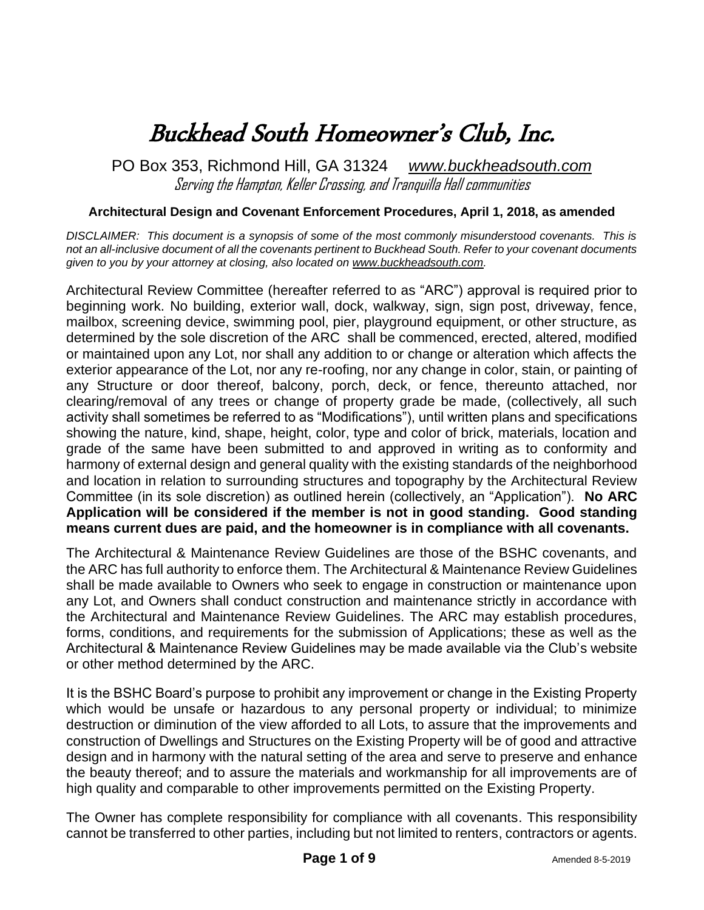# Buckhead South Homeowner's Club, Inc.

PO Box 353, Richmond Hill, GA 31324 *[www.buckheadsouth.com](http://www.buckheadsouth.weebly.com/)* Serving the Hampton, Keller Crossing, and Tranquilla Hall communities

#### **Architectural Design and Covenant Enforcement Procedures, April 1, 2018, as amended**

*DISCLAIMER: This document is a synopsis of some of the most commonly misunderstood covenants. This is not an all-inclusive document of all the covenants pertinent to Buckhead South. Refer to your covenant documents given to you by your attorney at closing, also located on [www.buckheadsouth.com.](http://www.buckheadsouth.com/)*

Architectural Review Committee (hereafter referred to as "ARC") approval is required prior to beginning work. No building, exterior wall, dock, walkway, sign, sign post, driveway, fence, mailbox, screening device, swimming pool, pier, playground equipment, or other structure, as determined by the sole discretion of the ARC shall be commenced, erected, altered, modified or maintained upon any Lot, nor shall any addition to or change or alteration which affects the exterior appearance of the Lot, nor any re-roofing, nor any change in color, stain, or painting of any Structure or door thereof, balcony, porch, deck, or fence, thereunto attached, nor clearing/removal of any trees or change of property grade be made, (collectively, all such activity shall sometimes be referred to as "Modifications"), until written plans and specifications showing the nature, kind, shape, height, color, type and color of brick, materials, location and grade of the same have been submitted to and approved in writing as to conformity and harmony of external design and general quality with the existing standards of the neighborhood and location in relation to surrounding structures and topography by the Architectural Review Committee (in its sole discretion) as outlined herein (collectively, an "Application"). **No ARC Application will be considered if the member is not in good standing. Good standing means current dues are paid, and the homeowner is in compliance with all covenants.**

The Architectural & Maintenance Review Guidelines are those of the BSHC covenants, and the ARC has full authority to enforce them. The Architectural & Maintenance Review Guidelines shall be made available to Owners who seek to engage in construction or maintenance upon any Lot, and Owners shall conduct construction and maintenance strictly in accordance with the Architectural and Maintenance Review Guidelines. The ARC may establish procedures, forms, conditions, and requirements for the submission of Applications; these as well as the Architectural & Maintenance Review Guidelines may be made available via the Club's website or other method determined by the ARC.

It is the BSHC Board's purpose to prohibit any improvement or change in the Existing Property which would be unsafe or hazardous to any personal property or individual; to minimize destruction or diminution of the view afforded to all Lots, to assure that the improvements and construction of Dwellings and Structures on the Existing Property will be of good and attractive design and in harmony with the natural setting of the area and serve to preserve and enhance the beauty thereof; and to assure the materials and workmanship for all improvements are of high quality and comparable to other improvements permitted on the Existing Property.

The Owner has complete responsibility for compliance with all covenants. This responsibility cannot be transferred to other parties, including but not limited to renters, contractors or agents.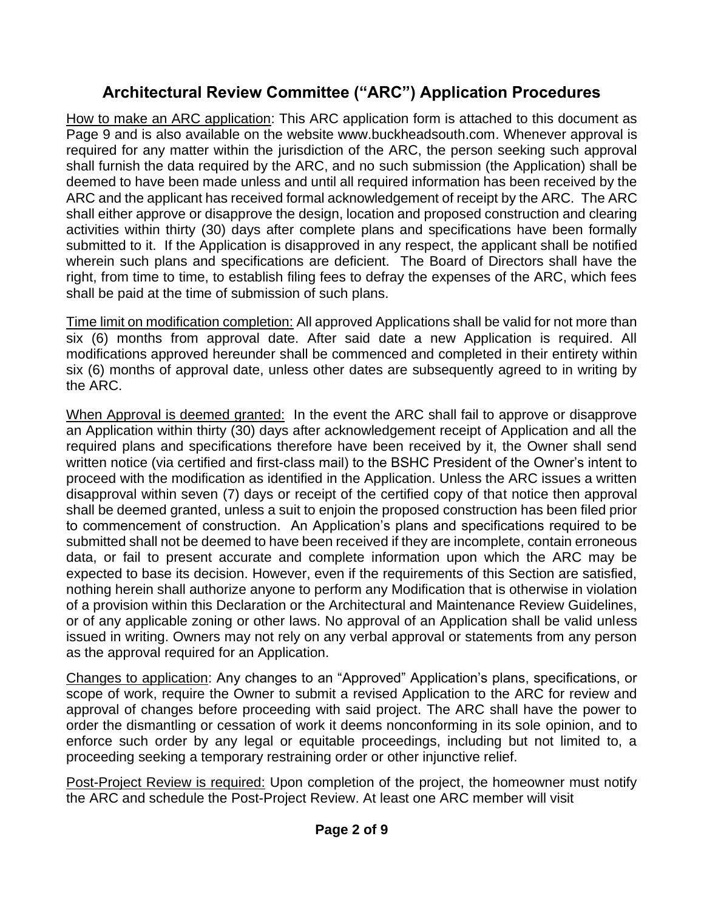## **Architectural Review Committee ("ARC") Application Procedures**

How to make an ARC application: This ARC application form is attached to this document as Page 9 and is also available on the website [www.buckheadsouth.com.](http://www.buckheadsouth.com/) Whenever approval is required for any matter within the jurisdiction of the ARC, the person seeking such approval shall furnish the data required by the ARC, and no such submission (the Application) shall be deemed to have been made unless and until all required information has been received by the ARC and the applicant has received formal acknowledgement of receipt by the ARC. The ARC shall either approve or disapprove the design, location and proposed construction and clearing activities within thirty (30) days after complete plans and specifications have been formally submitted to it. If the Application is disapproved in any respect, the applicant shall be notified wherein such plans and specifications are deficient. The Board of Directors shall have the right, from time to time, to establish filing fees to defray the expenses of the ARC, which fees shall be paid at the time of submission of such plans.

Time limit on modification completion: All approved Applications shall be valid for not more than six (6) months from approval date. After said date a new Application is required. All modifications approved hereunder shall be commenced and completed in their entirety within six (6) months of approval date, unless other dates are subsequently agreed to in writing by the ARC.

When Approval is deemed granted: In the event the ARC shall fail to approve or disapprove an Application within thirty (30) days after acknowledgement receipt of Application and all the required plans and specifications therefore have been received by it, the Owner shall send written notice (via certified and first-class mail) to the BSHC President of the Owner's intent to proceed with the modification as identified in the Application. Unless the ARC issues a written disapproval within seven (7) days or receipt of the certified copy of that notice then approval shall be deemed granted, unless a suit to enjoin the proposed construction has been filed prior to commencement of construction. An Application's plans and specifications required to be submitted shall not be deemed to have been received if they are incomplete, contain erroneous data, or fail to present accurate and complete information upon which the ARC may be expected to base its decision. However, even if the requirements of this Section are satisfied, nothing herein shall authorize anyone to perform any Modification that is otherwise in violation of a provision within this Declaration or the Architectural and Maintenance Review Guidelines, or of any applicable zoning or other laws. No approval of an Application shall be valid unless issued in writing. Owners may not rely on any verbal approval or statements from any person as the approval required for an Application.

Changes to application: Any changes to an "Approved" Application's plans, specifications, or scope of work, require the Owner to submit a revised Application to the ARC for review and approval of changes before proceeding with said project. The ARC shall have the power to order the dismantling or cessation of work it deems nonconforming in its sole opinion, and to enforce such order by any legal or equitable proceedings, including but not limited to, a proceeding seeking a temporary restraining order or other injunctive relief.

Post-Project Review is required: Upon completion of the project, the homeowner must notify the ARC and schedule the Post-Project Review. At least one ARC member will visit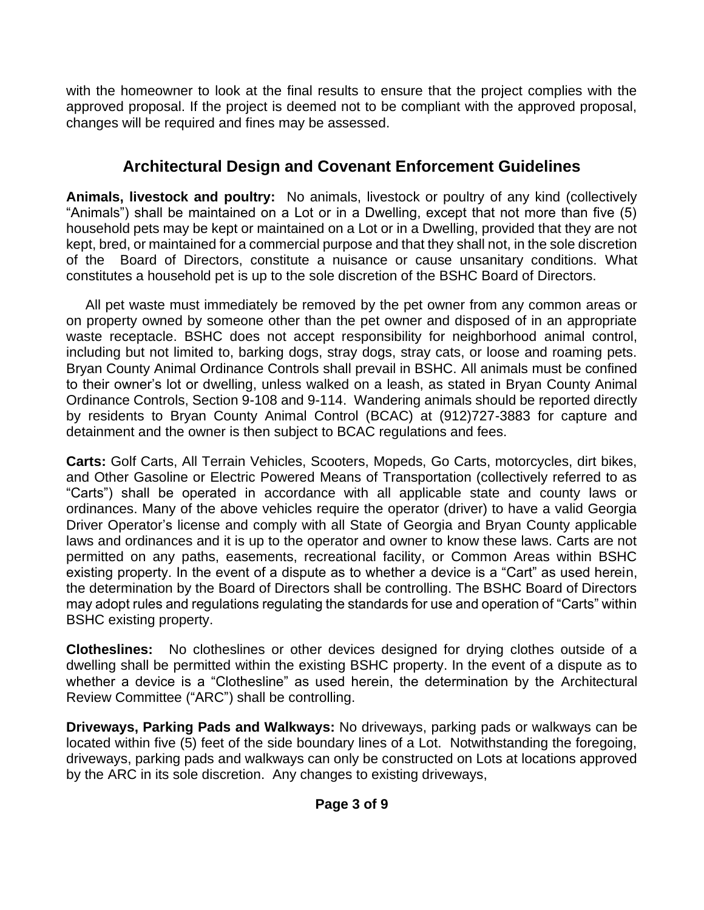with the homeowner to look at the final results to ensure that the project complies with the approved proposal. If the project is deemed not to be compliant with the approved proposal, changes will be required and fines may be assessed.

## **Architectural Design and Covenant Enforcement Guidelines**

**Animals, livestock and poultry:** No animals, livestock or poultry of any kind (collectively "Animals") shall be maintained on a Lot or in a Dwelling, except that not more than five (5) household pets may be kept or maintained on a Lot or in a Dwelling, provided that they are not kept, bred, or maintained for a commercial purpose and that they shall not, in the sole discretion of the Board of Directors, constitute a nuisance or cause unsanitary conditions. What constitutes a household pet is up to the sole discretion of the BSHC Board of Directors.

 All pet waste must immediately be removed by the pet owner from any common areas or on property owned by someone other than the pet owner and disposed of in an appropriate waste receptacle. BSHC does not accept responsibility for neighborhood animal control, including but not limited to, barking dogs, stray dogs, stray cats, or loose and roaming pets. Bryan County Animal Ordinance Controls shall prevail in BSHC. All animals must be confined to their owner's lot or dwelling, unless walked on a leash, as stated in Bryan County Animal Ordinance Controls, Section 9-108 and 9-114. Wandering animals should be reported directly by residents to Bryan County Animal Control (BCAC) at (912)727-3883 for capture and detainment and the owner is then subject to BCAC regulations and fees.

**Carts:** Golf Carts, All Terrain Vehicles, Scooters, Mopeds, Go Carts, motorcycles, dirt bikes, and Other Gasoline or Electric Powered Means of Transportation (collectively referred to as "Carts") shall be operated in accordance with all applicable state and county laws or ordinances. Many of the above vehicles require the operator (driver) to have a valid Georgia Driver Operator's license and comply with all State of Georgia and Bryan County applicable laws and ordinances and it is up to the operator and owner to know these laws. Carts are not permitted on any paths, easements, recreational facility, or Common Areas within BSHC existing property. In the event of a dispute as to whether a device is a "Cart" as used herein, the determination by the Board of Directors shall be controlling. The BSHC Board of Directors may adopt rules and regulations regulating the standards for use and operation of "Carts" within BSHC existing property.

**Clotheslines:** No clotheslines or other devices designed for drying clothes outside of a dwelling shall be permitted within the existing BSHC property. In the event of a dispute as to whether a device is a "Clothesline" as used herein, the determination by the Architectural Review Committee ("ARC") shall be controlling.

**Driveways, Parking Pads and Walkways:** No driveways, parking pads or walkways can be located within five (5) feet of the side boundary lines of a Lot. Notwithstanding the foregoing, driveways, parking pads and walkways can only be constructed on Lots at locations approved by the ARC in its sole discretion. Any changes to existing driveways,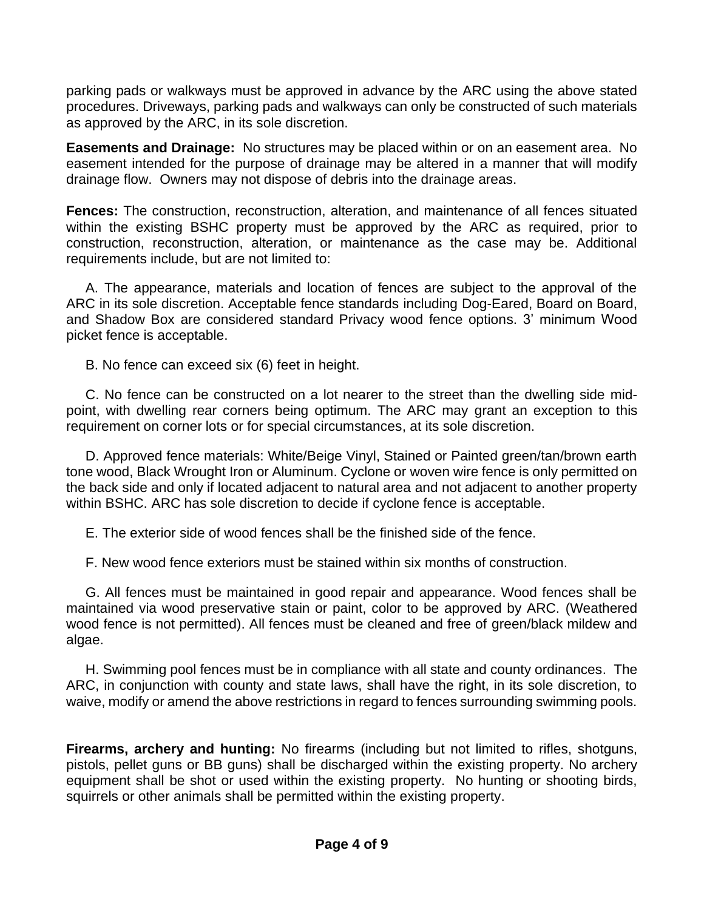parking pads or walkways must be approved in advance by the ARC using the above stated procedures. Driveways, parking pads and walkways can only be constructed of such materials as approved by the ARC, in its sole discretion.

**Easements and Drainage:** No structures may be placed within or on an easement area. No easement intended for the purpose of drainage may be altered in a manner that will modify drainage flow. Owners may not dispose of debris into the drainage areas.

**Fences:** The construction, reconstruction, alteration, and maintenance of all fences situated within the existing BSHC property must be approved by the ARC as required, prior to construction, reconstruction, alteration, or maintenance as the case may be. Additional requirements include, but are not limited to:

 A. The appearance, materials and location of fences are subject to the approval of the ARC in its sole discretion. Acceptable fence standards including Dog-Eared, Board on Board, and Shadow Box are considered standard Privacy wood fence options. 3' minimum Wood picket fence is acceptable.

B. No fence can exceed six (6) feet in height.

 C. No fence can be constructed on a lot nearer to the street than the dwelling side midpoint, with dwelling rear corners being optimum. The ARC may grant an exception to this requirement on corner lots or for special circumstances, at its sole discretion.

 D. Approved fence materials: White/Beige Vinyl, Stained or Painted green/tan/brown earth tone wood, Black Wrought Iron or Aluminum. Cyclone or woven wire fence is only permitted on the back side and only if located adjacent to natural area and not adjacent to another property within BSHC. ARC has sole discretion to decide if cyclone fence is acceptable.

E. The exterior side of wood fences shall be the finished side of the fence.

F. New wood fence exteriors must be stained within six months of construction.

 G. All fences must be maintained in good repair and appearance. Wood fences shall be maintained via wood preservative stain or paint, color to be approved by ARC. (Weathered wood fence is not permitted). All fences must be cleaned and free of green/black mildew and algae.

 H. Swimming pool fences must be in compliance with all state and county ordinances. The ARC, in conjunction with county and state laws, shall have the right, in its sole discretion, to waive, modify or amend the above restrictions in regard to fences surrounding swimming pools.

**Firearms, archery and hunting:** No firearms (including but not limited to rifles, shotguns, pistols, pellet guns or BB guns) shall be discharged within the existing property. No archery equipment shall be shot or used within the existing property. No hunting or shooting birds, squirrels or other animals shall be permitted within the existing property.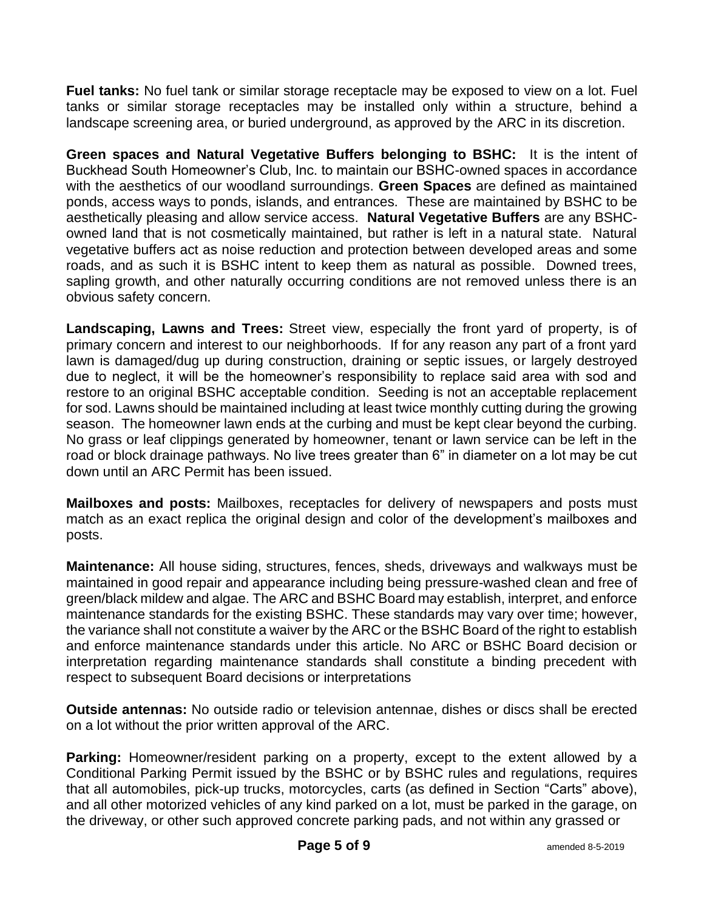**Fuel tanks:** No fuel tank or similar storage receptacle may be exposed to view on a lot. Fuel tanks or similar storage receptacles may be installed only within a structure, behind a landscape screening area, or buried underground, as approved by the ARC in its discretion.

**Green spaces and Natural Vegetative Buffers belonging to BSHC:** It is the intent of Buckhead South Homeowner's Club, Inc. to maintain our BSHC-owned spaces in accordance with the aesthetics of our woodland surroundings. **Green Spaces** are defined as maintained ponds, access ways to ponds, islands, and entrances. These are maintained by BSHC to be aesthetically pleasing and allow service access. **Natural Vegetative Buffers** are any BSHCowned land that is not cosmetically maintained, but rather is left in a natural state. Natural vegetative buffers act as noise reduction and protection between developed areas and some roads, and as such it is BSHC intent to keep them as natural as possible. Downed trees, sapling growth, and other naturally occurring conditions are not removed unless there is an obvious safety concern.

**Landscaping, Lawns and Trees:** Street view, especially the front yard of property, is of primary concern and interest to our neighborhoods. If for any reason any part of a front yard lawn is damaged/dug up during construction, draining or septic issues, or largely destroyed due to neglect, it will be the homeowner's responsibility to replace said area with sod and restore to an original BSHC acceptable condition. Seeding is not an acceptable replacement for sod. Lawns should be maintained including at least twice monthly cutting during the growing season. The homeowner lawn ends at the curbing and must be kept clear beyond the curbing. No grass or leaf clippings generated by homeowner, tenant or lawn service can be left in the road or block drainage pathways. No live trees greater than 6" in diameter on a lot may be cut down until an ARC Permit has been issued.

**Mailboxes and posts:** Mailboxes, receptacles for delivery of newspapers and posts must match as an exact replica the original design and color of the development's mailboxes and posts.

**Maintenance:** All house siding, structures, fences, sheds, driveways and walkways must be maintained in good repair and appearance including being pressure-washed clean and free of green/black mildew and algae. The ARC and BSHC Board may establish, interpret, and enforce maintenance standards for the existing BSHC. These standards may vary over time; however, the variance shall not constitute a waiver by the ARC or the BSHC Board of the right to establish and enforce maintenance standards under this article. No ARC or BSHC Board decision or interpretation regarding maintenance standards shall constitute a binding precedent with respect to subsequent Board decisions or interpretations

**Outside antennas:** No outside radio or television antennae, dishes or discs shall be erected on a lot without the prior written approval of the ARC.

**Parking:** Homeowner/resident parking on a property, except to the extent allowed by a Conditional Parking Permit issued by the BSHC or by BSHC rules and regulations, requires that all automobiles, pick-up trucks, motorcycles, carts (as defined in Section "Carts" above), and all other motorized vehicles of any kind parked on a lot, must be parked in the garage, on the driveway, or other such approved concrete parking pads, and not within any grassed or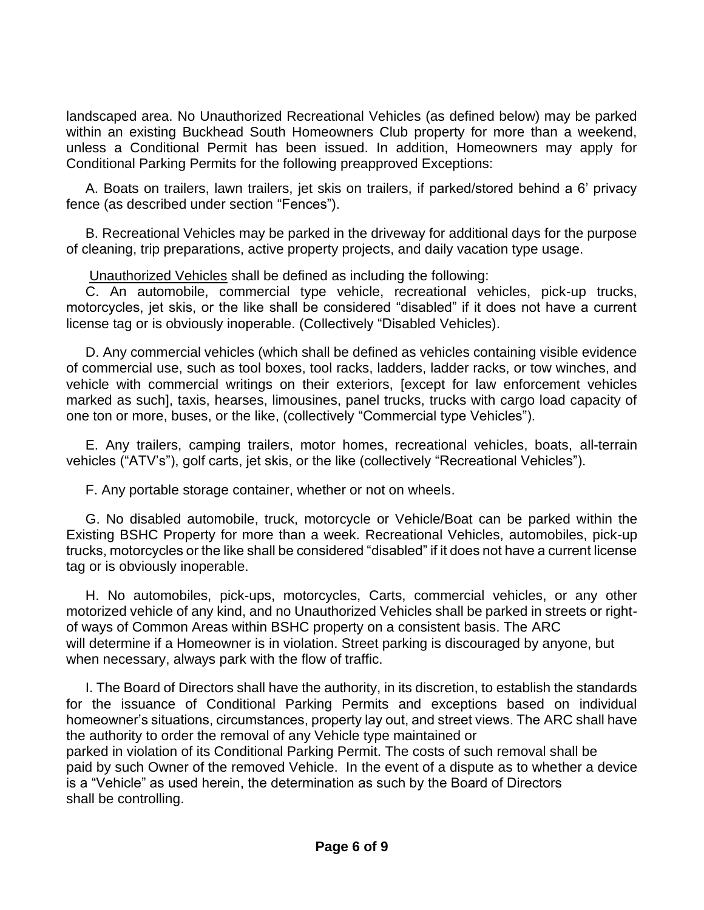landscaped area. No Unauthorized Recreational Vehicles (as defined below) may be parked within an existing Buckhead South Homeowners Club property for more than a weekend, unless a Conditional Permit has been issued. In addition, Homeowners may apply for Conditional Parking Permits for the following preapproved Exceptions:

 A. Boats on trailers, lawn trailers, jet skis on trailers, if parked/stored behind a 6' privacy fence (as described under section "Fences").

 B. Recreational Vehicles may be parked in the driveway for additional days for the purpose of cleaning, trip preparations, active property projects, and daily vacation type usage.

Unauthorized Vehicles shall be defined as including the following:

 C. An automobile, commercial type vehicle, recreational vehicles, pick-up trucks, motorcycles, jet skis, or the like shall be considered "disabled" if it does not have a current license tag or is obviously inoperable. (Collectively "Disabled Vehicles).

 D. Any commercial vehicles (which shall be defined as vehicles containing visible evidence of commercial use, such as tool boxes, tool racks, ladders, ladder racks, or tow winches, and vehicle with commercial writings on their exteriors, [except for law enforcement vehicles marked as such], taxis, hearses, limousines, panel trucks, trucks with cargo load capacity of one ton or more, buses, or the like, (collectively "Commercial type Vehicles").

 E. Any trailers, camping trailers, motor homes, recreational vehicles, boats, all-terrain vehicles ("ATV's"), golf carts, jet skis, or the like (collectively "Recreational Vehicles").

F. Any portable storage container, whether or not on wheels.

 G. No disabled automobile, truck, motorcycle or Vehicle/Boat can be parked within the Existing BSHC Property for more than a week. Recreational Vehicles, automobiles, pick-up trucks, motorcycles or the like shall be considered "disabled" if it does not have a current license tag or is obviously inoperable.

 H. No automobiles, pick-ups, motorcycles, Carts, commercial vehicles, or any other motorized vehicle of any kind, and no Unauthorized Vehicles shall be parked in streets or rightof ways of Common Areas within BSHC property on a consistent basis. The ARC will determine if a Homeowner is in violation. Street parking is discouraged by anyone, but when necessary, always park with the flow of traffic.

 I. The Board of Directors shall have the authority, in its discretion, to establish the standards for the issuance of Conditional Parking Permits and exceptions based on individual homeowner's situations, circumstances, property lay out, and street views. The ARC shall have the authority to order the removal of any Vehicle type maintained or

parked in violation of its Conditional Parking Permit. The costs of such removal shall be paid by such Owner of the removed Vehicle. In the event of a dispute as to whether a device is a "Vehicle" as used herein, the determination as such by the Board of Directors shall be controlling.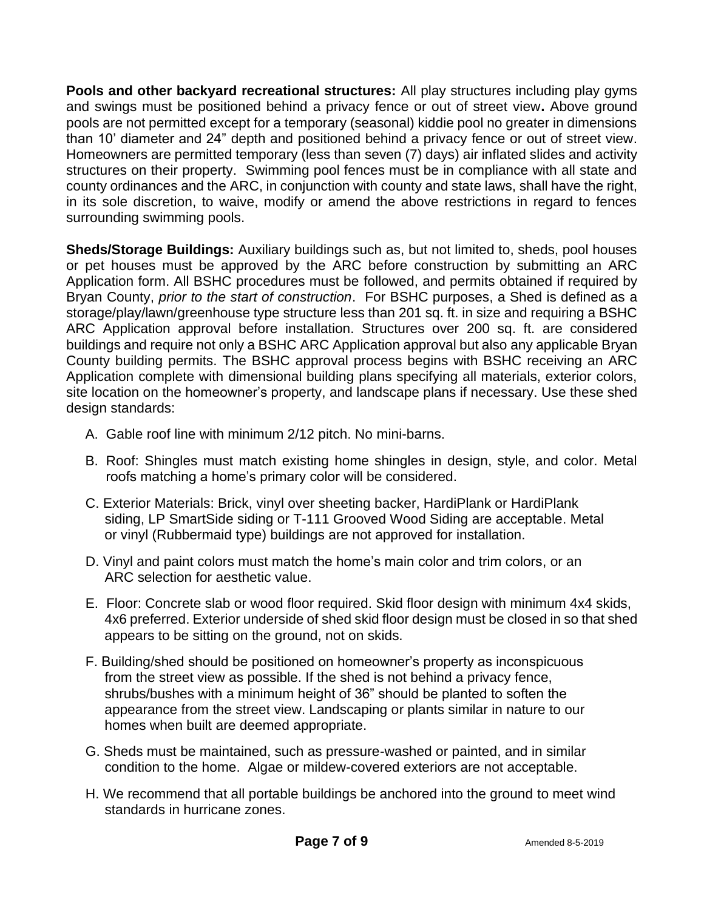**Pools and other backyard recreational structures:** All play structures including play gyms and swings must be positioned behind a privacy fence or out of street view**.** Above ground pools are not permitted except for a temporary (seasonal) kiddie pool no greater in dimensions than 10' diameter and 24" depth and positioned behind a privacy fence or out of street view. Homeowners are permitted temporary (less than seven (7) days) air inflated slides and activity structures on their property. Swimming pool fences must be in compliance with all state and county ordinances and the ARC, in conjunction with county and state laws, shall have the right, in its sole discretion, to waive, modify or amend the above restrictions in regard to fences surrounding swimming pools.

**Sheds/Storage Buildings:** Auxiliary buildings such as, but not limited to, sheds, pool houses or pet houses must be approved by the ARC before construction by submitting an ARC Application form. All BSHC procedures must be followed, and permits obtained if required by Bryan County, *prior to the start of construction*. For BSHC purposes, a Shed is defined as a storage/play/lawn/greenhouse type structure less than 201 sq. ft. in size and requiring a BSHC ARC Application approval before installation. Structures over 200 sq. ft. are considered buildings and require not only a BSHC ARC Application approval but also any applicable Bryan County building permits. The BSHC approval process begins with BSHC receiving an ARC Application complete with dimensional building plans specifying all materials, exterior colors, site location on the homeowner's property, and landscape plans if necessary. Use these shed design standards:

- A. Gable roof line with minimum 2/12 pitch. No mini-barns.
- B. Roof: Shingles must match existing home shingles in design, style, and color. Metal roofs matching a home's primary color will be considered.
- C. Exterior Materials: Brick, vinyl over sheeting backer, HardiPlank or HardiPlank siding, LP SmartSide siding or T-111 Grooved Wood Siding are acceptable. Metal or vinyl (Rubbermaid type) buildings are not approved for installation.
- D. Vinyl and paint colors must match the home's main color and trim colors, or an ARC selection for aesthetic value.
- E. Floor: Concrete slab or wood floor required. Skid floor design with minimum 4x4 skids, 4x6 preferred. Exterior underside of shed skid floor design must be closed in so that shed appears to be sitting on the ground, not on skids.
- F. Building/shed should be positioned on homeowner's property as inconspicuous from the street view as possible. If the shed is not behind a privacy fence, shrubs/bushes with a minimum height of 36" should be planted to soften the appearance from the street view. Landscaping or plants similar in nature to our homes when built are deemed appropriate.
- G. Sheds must be maintained, such as pressure-washed or painted, and in similar condition to the home. Algae or mildew-covered exteriors are not acceptable.
- H. We recommend that all portable buildings be anchored into the ground to meet wind standards in hurricane zones.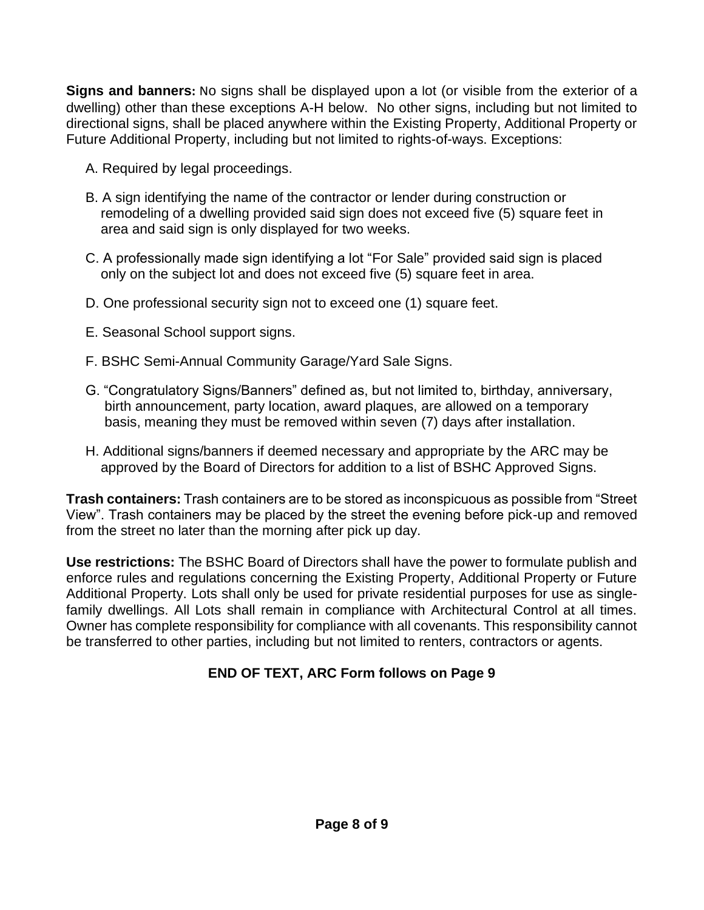**Signs and banners:** No signs shall be displayed upon a lot (or visible from the exterior of a dwelling) other than these exceptions A-H below. No other signs, including but not limited to directional signs, shall be placed anywhere within the Existing Property, Additional Property or Future Additional Property, including but not limited to rights-of-ways. Exceptions:

- A. Required by legal proceedings.
- B. A sign identifying the name of the contractor or lender during construction or remodeling of a dwelling provided said sign does not exceed five (5) square feet in area and said sign is only displayed for two weeks.
- C. A professionally made sign identifying a lot "For Sale" provided said sign is placed only on the subject lot and does not exceed five (5) square feet in area.
- D. One professional security sign not to exceed one (1) square feet.
- E. Seasonal School support signs.
- F. BSHC Semi-Annual Community Garage/Yard Sale Signs.
- G. "Congratulatory Signs/Banners" defined as, but not limited to, birthday, anniversary, birth announcement, party location, award plaques, are allowed on a temporary basis, meaning they must be removed within seven (7) days after installation.
- H. Additional signs/banners if deemed necessary and appropriate by the ARC may be approved by the Board of Directors for addition to a list of BSHC Approved Signs.

**Trash containers:** Trash containers are to be stored as inconspicuous as possible from "Street View". Trash containers may be placed by the street the evening before pick-up and removed from the street no later than the morning after pick up day.

**Use restrictions:** The BSHC Board of Directors shall have the power to formulate publish and enforce rules and regulations concerning the Existing Property, Additional Property or Future Additional Property. Lots shall only be used for private residential purposes for use as singlefamily dwellings. All Lots shall remain in compliance with Architectural Control at all times. Owner has complete responsibility for compliance with all covenants. This responsibility cannot be transferred to other parties, including but not limited to renters, contractors or agents.

### **END OF TEXT, ARC Form follows on Page 9**